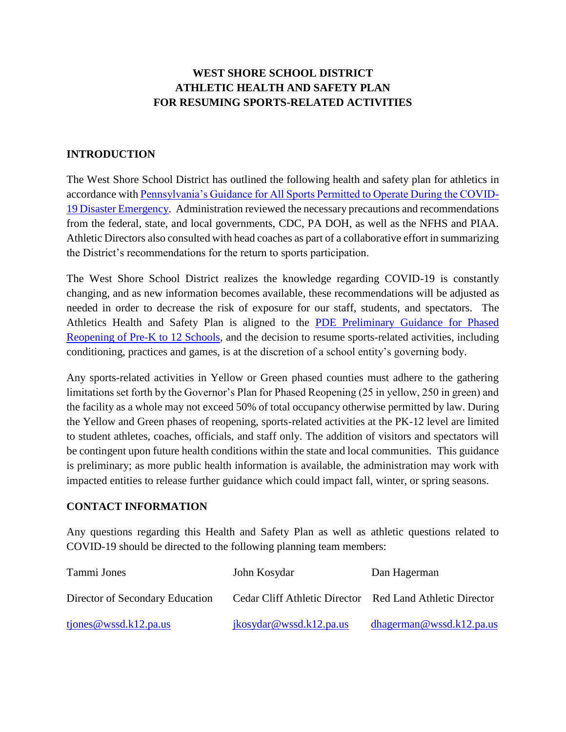# **WEST SHORE SCHOOL DISTRICT ATHLETIC HEALTH AND SAFETY PLAN FOR RESUMING SPORTS-RELATED ACTIVITIES**

### **INTRODUCTION**

The West Shore School District has outlined the following health and safety plan for athletics in accordance with [Pennsylvania's Guidance for All Sports Permitted to Operate During the COVID-](https://www.governor.pa.gov/covid-19/sports-guidance/)[19 Disaster Emergency.](https://www.governor.pa.gov/covid-19/sports-guidance/) Administration reviewed the necessary precautions and recommendations from the federal, state, and local governments, CDC, PA DOH, as well as the NFHS and PIAA. Athletic Directors also consulted with head coaches as part of a collaborative effort in summarizing the District's recommendations for the return to sports participation.

The West Shore School District realizes the knowledge regarding COVID-19 is constantly changing, and as new information becomes available, these recommendations will be adjusted as needed in order to decrease the risk of exposure for our staff, students, and spectators. The Athletics Health and Safety Plan is aligned to the [PDE Preliminary Guidance for Phased](https://www.education.pa.gov/Schools/safeschools/emergencyplanning/COVID-19/SchoolReopeningGuidance/K12/Pages/default.aspx)  [Reopening of Pre-K to 12 Schools,](https://www.education.pa.gov/Schools/safeschools/emergencyplanning/COVID-19/SchoolReopeningGuidance/K12/Pages/default.aspx) and the decision to resume sports-related activities, including conditioning, practices and games, is at the discretion of a school entity's governing body.

Any sports-related activities in Yellow or Green phased counties must adhere to the gathering limitations set forth by the Governor's Plan for Phased Reopening (25 in yellow, 250 in green) and the facility as a whole may not exceed 50% of total occupancy otherwise permitted by law. During the Yellow and Green phases of reopening, sports-related activities at the PK-12 level are limited to student athletes, coaches, officials, and staff only. The addition of visitors and spectators will be contingent upon future health conditions within the state and local communities. This guidance is preliminary; as more public health information is available, the administration may work with impacted entities to release further guidance which could impact fall, winter, or spring seasons.

#### **CONTACT INFORMATION**

Any questions regarding this Health and Safety Plan as well as athletic questions related to COVID-19 should be directed to the following planning team members:

| Tammi Jones                     | John Kosydar                                             | Dan Hagerman             |
|---------------------------------|----------------------------------------------------------|--------------------------|
| Director of Secondary Education | Cedar Cliff Athletic Director Red Land Athletic Director |                          |
| tjones@wssd.k12.pa.us           | ikosydar@wssd.k12.pa.us                                  | dhagerman@wssd.k12.pa.us |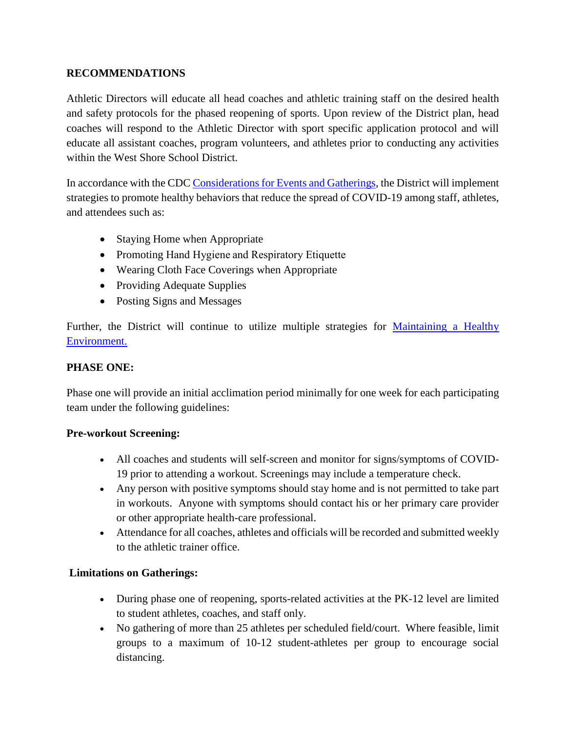### **RECOMMENDATIONS**

Athletic Directors will educate all head coaches and athletic training staff on the desired health and safety protocols for the phased reopening of sports. Upon review of the District plan, head coaches will respond to the Athletic Director with sport specific application protocol and will educate all assistant coaches, program volunteers, and athletes prior to conducting any activities within the West Shore School District.

In accordance with the CD[C Considerations for Events and Gatherings,](https://www.cdc.gov/coronavirus/2019-ncov/community/large-events/considerations-for-events-gatherings.html) the District will implement strategies to promote healthy behaviors that reduce the spread of COVID-19 among staff, athletes, and attendees such as:

- Staying Home when Appropriate
- Promoting Hand Hygiene and Respiratory Etiquette
- Wearing Cloth Face Coverings when Appropriate
- Providing Adequate Supplies
- Posting Signs and Messages

Further, the District will continue to utilize multiple strategies for [Maintaining a Healthy](https://www.cdc.gov/coronavirus/2019-ncov/community/large-events/considerations-for-events-gatherings.html)  [Environment.](https://www.cdc.gov/coronavirus/2019-ncov/community/large-events/considerations-for-events-gatherings.html)

### **PHASE ONE:**

Phase one will provide an initial acclimation period minimally for one week for each participating team under the following guidelines:

### **Pre-workout Screening:**

- All coaches and students will self-screen and monitor for signs/symptoms of COVID-19 prior to attending a workout. Screenings may include a temperature check.
- Any person with positive symptoms should stay home and is not permitted to take part in workouts. Anyone with symptoms should contact his or her primary care provider or other appropriate health-care professional.
- Attendance for all coaches, athletes and officials will be recorded and submitted weekly to the athletic trainer office.

### **Limitations on Gatherings:**

- During phase one of reopening, sports-related activities at the PK-12 level are limited to student athletes, coaches, and staff only.
- No gathering of more than 25 athletes per scheduled field/court. Where feasible, limit groups to a maximum of 10-12 student-athletes per group to encourage social distancing.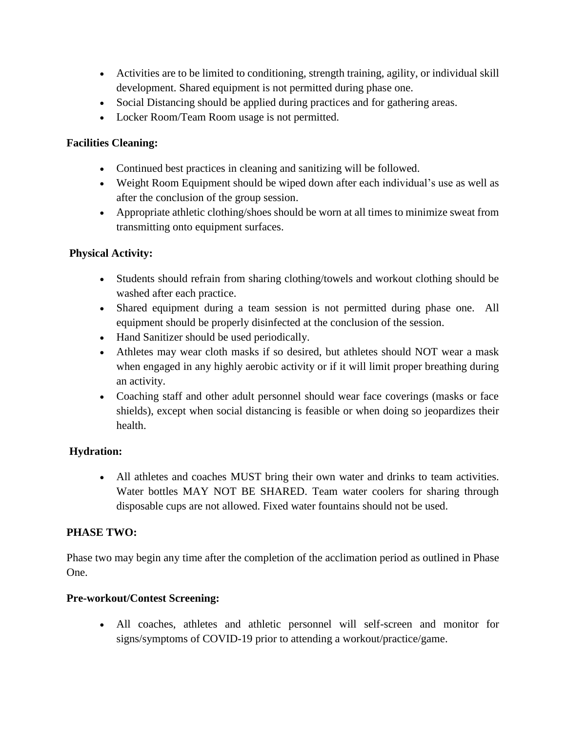- Activities are to be limited to conditioning, strength training, agility, or individual skill development. Shared equipment is not permitted during phase one.
- Social Distancing should be applied during practices and for gathering areas.
- Locker Room/Team Room usage is not permitted.

## **Facilities Cleaning:**

- Continued best practices in cleaning and sanitizing will be followed.
- Weight Room Equipment should be wiped down after each individual's use as well as after the conclusion of the group session.
- Appropriate athletic clothing/shoes should be worn at all times to minimize sweat from transmitting onto equipment surfaces.

## **Physical Activity:**

- Students should refrain from sharing clothing/towels and workout clothing should be washed after each practice.
- Shared equipment during a team session is not permitted during phase one. All equipment should be properly disinfected at the conclusion of the session.
- Hand Sanitizer should be used periodically.
- Athletes may wear cloth masks if so desired, but athletes should NOT wear a mask when engaged in any highly aerobic activity or if it will limit proper breathing during an activity.
- Coaching staff and other adult personnel should wear face coverings (masks or face shields), except when social distancing is feasible or when doing so jeopardizes their health.

# **Hydration:**

 All athletes and coaches MUST bring their own water and drinks to team activities. Water bottles MAY NOT BE SHARED. Team water coolers for sharing through disposable cups are not allowed. Fixed water fountains should not be used.

# **PHASE TWO:**

Phase two may begin any time after the completion of the acclimation period as outlined in Phase One.

### **Pre-workout/Contest Screening:**

 All coaches, athletes and athletic personnel will self-screen and monitor for signs/symptoms of COVID-19 prior to attending a workout/practice/game.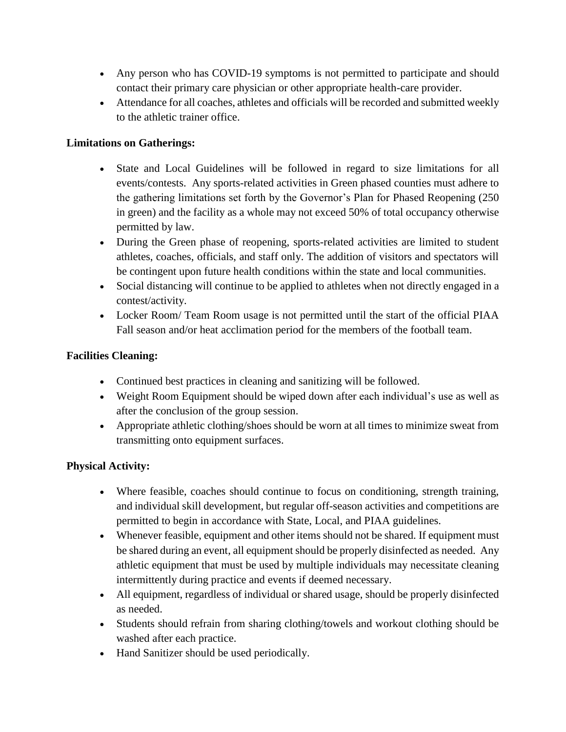- Any person who has COVID-19 symptoms is not permitted to participate and should contact their primary care physician or other appropriate health-care provider.
- Attendance for all coaches, athletes and officials will be recorded and submitted weekly to the athletic trainer office.

## **Limitations on Gatherings:**

- State and Local Guidelines will be followed in regard to size limitations for all events/contests. Any sports-related activities in Green phased counties must adhere to the gathering limitations set forth by the Governor's Plan for Phased Reopening (250 in green) and the facility as a whole may not exceed 50% of total occupancy otherwise permitted by law.
- During the Green phase of reopening, sports-related activities are limited to student athletes, coaches, officials, and staff only. The addition of visitors and spectators will be contingent upon future health conditions within the state and local communities.
- Social distancing will continue to be applied to athletes when not directly engaged in a contest/activity.
- Locker Room/ Team Room usage is not permitted until the start of the official PIAA Fall season and/or heat acclimation period for the members of the football team.

## **Facilities Cleaning:**

- Continued best practices in cleaning and sanitizing will be followed.
- Weight Room Equipment should be wiped down after each individual's use as well as after the conclusion of the group session.
- Appropriate athletic clothing/shoes should be worn at all times to minimize sweat from transmitting onto equipment surfaces.

# **Physical Activity:**

- Where feasible, coaches should continue to focus on conditioning, strength training, and individual skill development, but regular off-season activities and competitions are permitted to begin in accordance with State, Local, and PIAA guidelines.
- Whenever feasible, equipment and other items should not be shared. If equipment must be shared during an event, all equipment should be properly disinfected as needed. Any athletic equipment that must be used by multiple individuals may necessitate cleaning intermittently during practice and events if deemed necessary.
- All equipment, regardless of individual or shared usage, should be properly disinfected as needed.
- Students should refrain from sharing clothing/towels and workout clothing should be washed after each practice.
- Hand Sanitizer should be used periodically.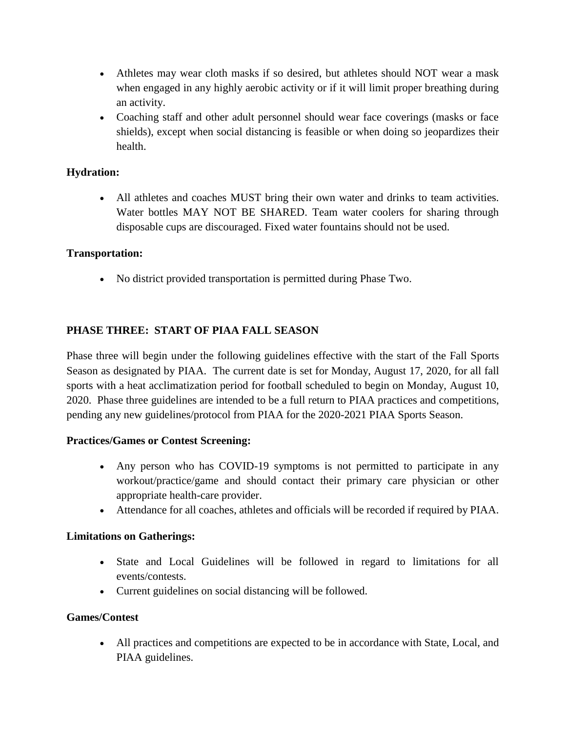- Athletes may wear cloth masks if so desired, but athletes should NOT wear a mask when engaged in any highly aerobic activity or if it will limit proper breathing during an activity.
- Coaching staff and other adult personnel should wear face coverings (masks or face shields), except when social distancing is feasible or when doing so jeopardizes their health.

## **Hydration:**

 All athletes and coaches MUST bring their own water and drinks to team activities. Water bottles MAY NOT BE SHARED. Team water coolers for sharing through disposable cups are discouraged. Fixed water fountains should not be used.

### **Transportation:**

No district provided transportation is permitted during Phase Two.

## **PHASE THREE: START OF PIAA FALL SEASON**

Phase three will begin under the following guidelines effective with the start of the Fall Sports Season as designated by PIAA. The current date is set for Monday, August 17, 2020, for all fall sports with a heat acclimatization period for football scheduled to begin on Monday, August 10, 2020. Phase three guidelines are intended to be a full return to PIAA practices and competitions, pending any new guidelines/protocol from PIAA for the 2020-2021 PIAA Sports Season.

#### **Practices/Games or Contest Screening:**

- Any person who has COVID-19 symptoms is not permitted to participate in any workout/practice/game and should contact their primary care physician or other appropriate health-care provider.
- Attendance for all coaches, athletes and officials will be recorded if required by PIAA.

#### **Limitations on Gatherings:**

- State and Local Guidelines will be followed in regard to limitations for all events/contests.
- Current guidelines on social distancing will be followed.

#### **Games/Contest**

 All practices and competitions are expected to be in accordance with State, Local, and PIAA guidelines.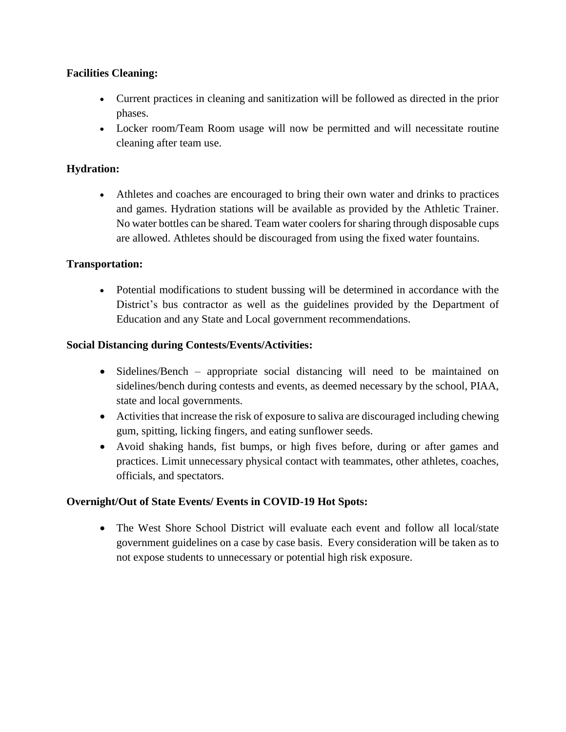### **Facilities Cleaning:**

- Current practices in cleaning and sanitization will be followed as directed in the prior phases.
- Locker room/Team Room usage will now be permitted and will necessitate routine cleaning after team use.

## **Hydration:**

 Athletes and coaches are encouraged to bring their own water and drinks to practices and games. Hydration stations will be available as provided by the Athletic Trainer. No water bottles can be shared. Team water coolers for sharing through disposable cups are allowed. Athletes should be discouraged from using the fixed water fountains.

### **Transportation:**

 Potential modifications to student bussing will be determined in accordance with the District's bus contractor as well as the guidelines provided by the Department of Education and any State and Local government recommendations.

### **Social Distancing during Contests/Events/Activities:**

- Sidelines/Bench appropriate social distancing will need to be maintained on sidelines/bench during contests and events, as deemed necessary by the school, PIAA, state and local governments.
- Activities that increase the risk of exposure to saliva are discouraged including chewing gum, spitting, licking fingers, and eating sunflower seeds.
- Avoid shaking hands, fist bumps, or high fives before, during or after games and practices. Limit unnecessary physical contact with teammates, other athletes, coaches, officials, and spectators.

### **Overnight/Out of State Events/ Events in COVID-19 Hot Spots:**

• The West Shore School District will evaluate each event and follow all local/state government guidelines on a case by case basis. Every consideration will be taken as to not expose students to unnecessary or potential high risk exposure.